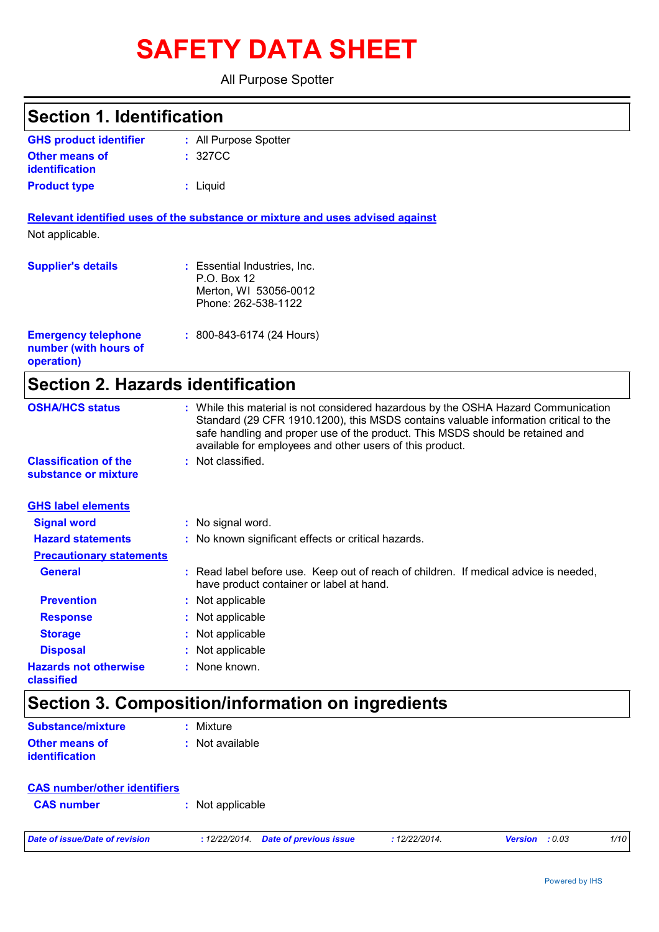# **SAFETY DATA SHEET**

All Purpose Spotter

| <b>Section 1. Identification</b>                                  |                                                                                                                                                                                                                                                                                                                         |
|-------------------------------------------------------------------|-------------------------------------------------------------------------------------------------------------------------------------------------------------------------------------------------------------------------------------------------------------------------------------------------------------------------|
| <b>GHS product identifier</b>                                     | : All Purpose Spotter                                                                                                                                                                                                                                                                                                   |
| <b>Other means of</b><br>identification                           | : 327CC                                                                                                                                                                                                                                                                                                                 |
| <b>Product type</b>                                               | : Liquid                                                                                                                                                                                                                                                                                                                |
|                                                                   | Relevant identified uses of the substance or mixture and uses advised against                                                                                                                                                                                                                                           |
| Not applicable.                                                   |                                                                                                                                                                                                                                                                                                                         |
| <b>Supplier's details</b>                                         | : Essential Industries, Inc.<br>P.O. Box 12<br>Merton, WI 53056-0012<br>Phone: 262-538-1122                                                                                                                                                                                                                             |
| <b>Emergency telephone</b><br>number (with hours of<br>operation) | $: 800 - 843 - 6174 (24$ Hours)                                                                                                                                                                                                                                                                                         |
| <b>Section 2. Hazards identification</b>                          |                                                                                                                                                                                                                                                                                                                         |
| <b>OSHA/HCS status</b>                                            | : While this material is not considered hazardous by the OSHA Hazard Communication<br>Standard (29 CFR 1910.1200), this MSDS contains valuable information critical to the<br>safe handling and proper use of the product. This MSDS should be retained and<br>available for employees and other users of this product. |
| <b>Classification of the</b><br>substance or mixture              | : Not classified.                                                                                                                                                                                                                                                                                                       |
| <b>GHS label elements</b>                                         |                                                                                                                                                                                                                                                                                                                         |
| <b>Signal word</b>                                                | : No signal word.                                                                                                                                                                                                                                                                                                       |
| <b>Hazard statements</b>                                          | : No known significant effects or critical hazards.                                                                                                                                                                                                                                                                     |
| <b>Precautionary statements</b>                                   |                                                                                                                                                                                                                                                                                                                         |
| <b>General</b>                                                    | : Read label before use. Keep out of reach of children. If medical advice is needed,<br>have product container or label at hand.                                                                                                                                                                                        |
| <b>Prevention</b>                                                 | Not applicable                                                                                                                                                                                                                                                                                                          |
| <b>Response</b>                                                   | Not applicable                                                                                                                                                                                                                                                                                                          |
|                                                                   | Not applicable                                                                                                                                                                                                                                                                                                          |
| <b>Storage</b>                                                    |                                                                                                                                                                                                                                                                                                                         |
| <b>Disposal</b>                                                   | Not applicable                                                                                                                                                                                                                                                                                                          |

| Substance/mixture                       | : Mixture         |
|-----------------------------------------|-------------------|
| Other means of<br><b>identification</b> | $:$ Not available |

| <b>CAS number/other identifiers</b> |                  |
|-------------------------------------|------------------|
| <b>CAS</b> number                   | : Not applicable |
|                                     |                  |

*Date of issue/Date of revision* **:** *12/22/2014. Date of previous issue : 12/22/2014. Version : 0.03 1/10*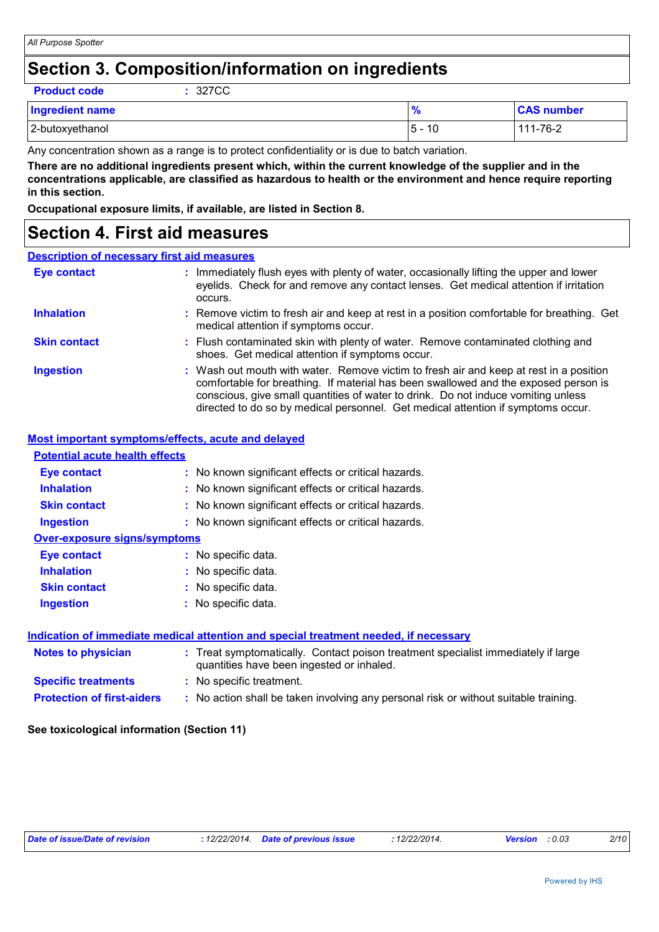## **Section 3. Composition/information on ingredients**

**Product code :** 327CC

| <b>Ingredient name</b> | 70        | <b>CAS number</b> |
|------------------------|-----------|-------------------|
| 2-butoxyethanol        | 10<br>5 - | 111-76-2          |

Any concentration shown as a range is to protect confidentiality or is due to batch variation.

**There are no additional ingredients present which, within the current knowledge of the supplier and in the concentrations applicable, are classified as hazardous to health or the environment and hence require reporting in this section.**

**Occupational exposure limits, if available, are listed in Section 8.**

## **Section 4. First aid measures**

## **Description of necessary first aid measures**

| <b>Eye contact</b>  | : Immediately flush eyes with plenty of water, occasionally lifting the upper and lower<br>eyelids. Check for and remove any contact lenses. Get medical attention if irritation<br>occurs.                                                                                                                                                            |
|---------------------|--------------------------------------------------------------------------------------------------------------------------------------------------------------------------------------------------------------------------------------------------------------------------------------------------------------------------------------------------------|
| <b>Inhalation</b>   | : Remove victim to fresh air and keep at rest in a position comfortable for breathing. Get<br>medical attention if symptoms occur.                                                                                                                                                                                                                     |
| <b>Skin contact</b> | : Flush contaminated skin with plenty of water. Remove contaminated clothing and<br>shoes. Get medical attention if symptoms occur.                                                                                                                                                                                                                    |
| <b>Ingestion</b>    | : Wash out mouth with water. Remove victim to fresh air and keep at rest in a position<br>comfortable for breathing. If material has been swallowed and the exposed person is<br>conscious, give small quantities of water to drink. Do not induce vomiting unless<br>directed to do so by medical personnel. Get medical attention if symptoms occur. |

## **Most important symptoms/effects, acute and delayed**

| <b>Potential acute health effects</b> |                                                                                                                                |
|---------------------------------------|--------------------------------------------------------------------------------------------------------------------------------|
| Eye contact                           | : No known significant effects or critical hazards.                                                                            |
| <b>Inhalation</b>                     | : No known significant effects or critical hazards.                                                                            |
| <b>Skin contact</b>                   | : No known significant effects or critical hazards.                                                                            |
| <b>Ingestion</b>                      | : No known significant effects or critical hazards.                                                                            |
| <b>Over-exposure signs/symptoms</b>   |                                                                                                                                |
| Eye contact                           | : No specific data.                                                                                                            |
| <b>Inhalation</b>                     | : No specific data.                                                                                                            |
| <b>Skin contact</b>                   | : No specific data.                                                                                                            |
| <b>Ingestion</b>                      | : No specific data.                                                                                                            |
|                                       |                                                                                                                                |
|                                       | Indication of immediate medical attention and special treatment needed, if necessary                                           |
| Notes to physician                    | : Treat symptomatically. Contact poison treatment specialist immediately if large<br>quantities have been ingested or inhaled. |
| <b>Specific treatments</b>            | : No specific treatment.                                                                                                       |
| <b>Protection of first-aiders</b>     | : No action shall be taken involving any personal risk or without suitable training.                                           |
|                                       |                                                                                                                                |

### **See toxicological information (Section 11)**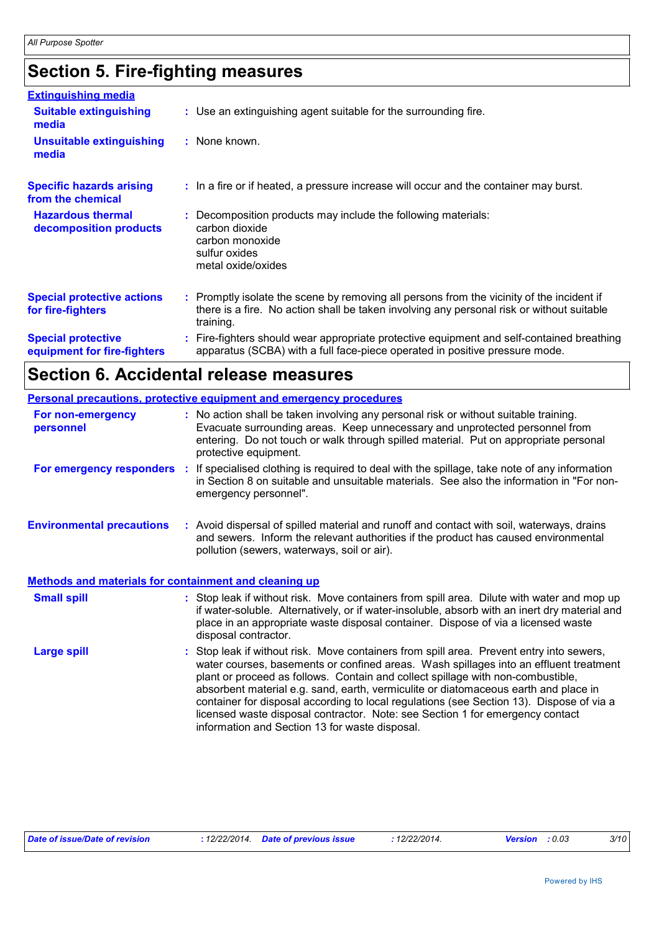# **Section 5. Fire-fighting measures**

| <b>Extinguishing media</b>                               |                                                                                                                                                                                                     |
|----------------------------------------------------------|-----------------------------------------------------------------------------------------------------------------------------------------------------------------------------------------------------|
| <b>Suitable extinguishing</b><br>media                   | : Use an extinguishing agent suitable for the surrounding fire.                                                                                                                                     |
| <b>Unsuitable extinguishing</b><br>media                 | : None known.                                                                                                                                                                                       |
| <b>Specific hazards arising</b><br>from the chemical     | : In a fire or if heated, a pressure increase will occur and the container may burst.                                                                                                               |
| <b>Hazardous thermal</b><br>decomposition products       | Decomposition products may include the following materials:<br>carbon dioxide<br>carbon monoxide<br>sulfur oxides<br>metal oxide/oxides                                                             |
| <b>Special protective actions</b><br>for fire-fighters   | : Promptly isolate the scene by removing all persons from the vicinity of the incident if<br>there is a fire. No action shall be taken involving any personal risk or without suitable<br>training. |
| <b>Special protective</b><br>equipment for fire-fighters | : Fire-fighters should wear appropriate protective equipment and self-contained breathing<br>apparatus (SCBA) with a full face-piece operated in positive pressure mode.                            |

# **Section 6. Accidental release measures**

|                                                       | Personal precautions, protective equipment and emergency procedures                                                                                                                                                                                                                                                                                                                                                                                                                                                                                                                        |  |
|-------------------------------------------------------|--------------------------------------------------------------------------------------------------------------------------------------------------------------------------------------------------------------------------------------------------------------------------------------------------------------------------------------------------------------------------------------------------------------------------------------------------------------------------------------------------------------------------------------------------------------------------------------------|--|
| For non-emergency<br>personnel                        | : No action shall be taken involving any personal risk or without suitable training.<br>Evacuate surrounding areas. Keep unnecessary and unprotected personnel from<br>entering. Do not touch or walk through spilled material. Put on appropriate personal<br>protective equipment.                                                                                                                                                                                                                                                                                                       |  |
|                                                       | For emergency responders : If specialised clothing is required to deal with the spillage, take note of any information<br>in Section 8 on suitable and unsuitable materials. See also the information in "For non-<br>emergency personnel".                                                                                                                                                                                                                                                                                                                                                |  |
| <b>Environmental precautions</b>                      | : Avoid dispersal of spilled material and runoff and contact with soil, waterways, drains<br>and sewers. Inform the relevant authorities if the product has caused environmental<br>pollution (sewers, waterways, soil or air).                                                                                                                                                                                                                                                                                                                                                            |  |
| Methods and materials for containment and cleaning up |                                                                                                                                                                                                                                                                                                                                                                                                                                                                                                                                                                                            |  |
| <b>Small spill</b>                                    | : Stop leak if without risk. Move containers from spill area. Dilute with water and mop up<br>if water-soluble. Alternatively, or if water-insoluble, absorb with an inert dry material and<br>place in an appropriate waste disposal container. Dispose of via a licensed waste<br>disposal contractor.                                                                                                                                                                                                                                                                                   |  |
| <b>Large spill</b>                                    | : Stop leak if without risk. Move containers from spill area. Prevent entry into sewers,<br>water courses, basements or confined areas. Wash spillages into an effluent treatment<br>plant or proceed as follows. Contain and collect spillage with non-combustible,<br>absorbent material e.g. sand, earth, vermiculite or diatomaceous earth and place in<br>container for disposal according to local regulations (see Section 13). Dispose of via a<br>licensed waste disposal contractor. Note: see Section 1 for emergency contact<br>information and Section 13 for waste disposal. |  |

| Date of issue/Date of revision | : 12/22/2014 Date of previous issue | 12/22/2014. | <b>Version</b> : 0.03 | 3/10 |
|--------------------------------|-------------------------------------|-------------|-----------------------|------|
|                                |                                     |             |                       |      |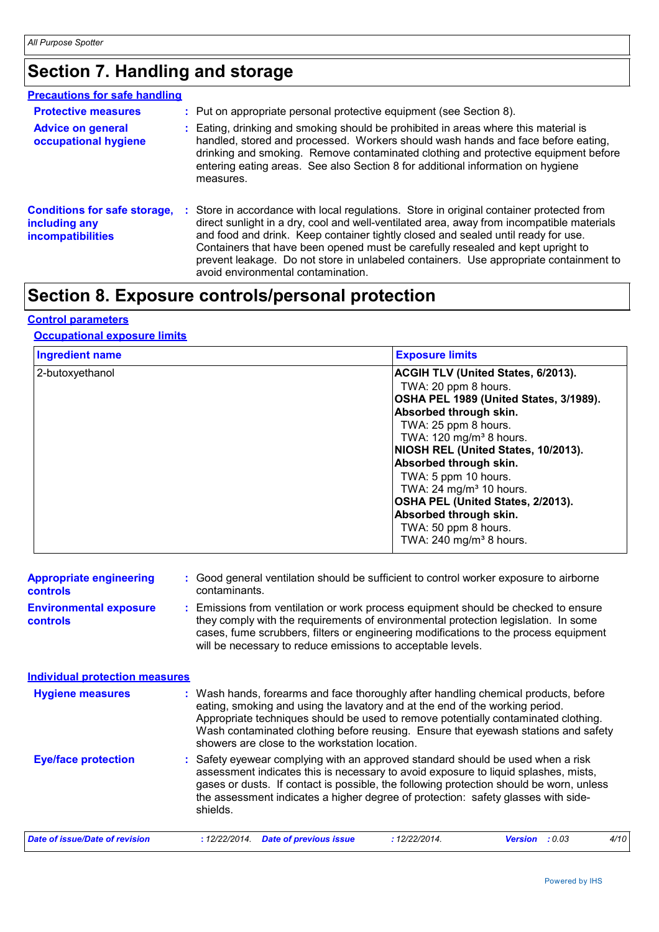# **Section 7. Handling and storage**

| <b>Precautions for safe handling</b>                                             |                                                                                                                                                                                                                                                                                                                                                                                                                                                                                              |
|----------------------------------------------------------------------------------|----------------------------------------------------------------------------------------------------------------------------------------------------------------------------------------------------------------------------------------------------------------------------------------------------------------------------------------------------------------------------------------------------------------------------------------------------------------------------------------------|
| <b>Protective measures</b>                                                       | : Put on appropriate personal protective equipment (see Section 8).                                                                                                                                                                                                                                                                                                                                                                                                                          |
| <b>Advice on general</b><br>occupational hygiene                                 | : Eating, drinking and smoking should be prohibited in areas where this material is<br>handled, stored and processed. Workers should wash hands and face before eating,<br>drinking and smoking. Remove contaminated clothing and protective equipment before<br>entering eating areas. See also Section 8 for additional information on hygiene<br>measures.                                                                                                                                |
| <b>Conditions for safe storage,</b><br>including any<br><b>incompatibilities</b> | : Store in accordance with local regulations. Store in original container protected from<br>direct sunlight in a dry, cool and well-ventilated area, away from incompatible materials<br>and food and drink. Keep container tightly closed and sealed until ready for use.<br>Containers that have been opened must be carefully resealed and kept upright to<br>prevent leakage. Do not store in unlabeled containers. Use appropriate containment to<br>avoid environmental contamination. |

# **Section 8. Exposure controls/personal protection**

## **Control parameters**

## **Occupational exposure limits**

| <b>Ingredient name</b> | <b>Exposure limits</b>                                                                                                                                                                                                                                                                                                                                                                                                                                      |
|------------------------|-------------------------------------------------------------------------------------------------------------------------------------------------------------------------------------------------------------------------------------------------------------------------------------------------------------------------------------------------------------------------------------------------------------------------------------------------------------|
| 2-butoxyethanol        | ACGIH TLV (United States, 6/2013).<br>TWA: 20 ppm 8 hours.<br>OSHA PEL 1989 (United States, 3/1989).<br>Absorbed through skin.<br>TWA: 25 ppm 8 hours.<br>TWA: 120 mg/m <sup>3</sup> 8 hours.<br>NIOSH REL (United States, 10/2013).<br>Absorbed through skin.<br>TWA: 5 ppm 10 hours.<br>TWA: 24 mg/m <sup>3</sup> 10 hours.<br>OSHA PEL (United States, 2/2013).<br>Absorbed through skin.<br>TWA: 50 ppm 8 hours.<br>TWA: 240 mg/m <sup>3</sup> 8 hours. |

| <b>Appropriate engineering</b><br><b>controls</b> |                                                                                                                                                                                                                                                                                                                                 | : Good general ventilation should be sufficient to control worker exposure to airborne<br>contaminants.                                                                                                                                                                                                                                                                                           |  |  |
|---------------------------------------------------|---------------------------------------------------------------------------------------------------------------------------------------------------------------------------------------------------------------------------------------------------------------------------------------------------------------------------------|---------------------------------------------------------------------------------------------------------------------------------------------------------------------------------------------------------------------------------------------------------------------------------------------------------------------------------------------------------------------------------------------------|--|--|
| <b>Environmental exposure</b><br>controls         | : Emissions from ventilation or work process equipment should be checked to ensure<br>they comply with the requirements of environmental protection legislation. In some<br>cases, fume scrubbers, filters or engineering modifications to the process equipment<br>will be necessary to reduce emissions to acceptable levels. |                                                                                                                                                                                                                                                                                                                                                                                                   |  |  |
| <b>Individual protection measures</b>             |                                                                                                                                                                                                                                                                                                                                 |                                                                                                                                                                                                                                                                                                                                                                                                   |  |  |
| <b>Hygiene measures</b>                           |                                                                                                                                                                                                                                                                                                                                 | : Wash hands, forearms and face thoroughly after handling chemical products, before<br>eating, smoking and using the lavatory and at the end of the working period.<br>Appropriate techniques should be used to remove potentially contaminated clothing.<br>Wash contaminated clothing before reusing. Ensure that eyewash stations and safety<br>showers are close to the workstation location. |  |  |
| <b>Eye/face protection</b>                        |                                                                                                                                                                                                                                                                                                                                 | : Safety eyewear complying with an approved standard should be used when a risk<br>assessment indicates this is necessary to avoid exposure to liquid splashes, mists,<br>gases or dusts. If contact is possible, the following protection should be worn, unless<br>the assessment indicates a higher degree of protection: safety glasses with side-<br>shields.                                |  |  |
| Date of issue/Date of revision                    |                                                                                                                                                                                                                                                                                                                                 | <b>Date of previous issue</b><br>: 12/22/2014.<br>: 12/22/2014.<br>: 0.03<br>4/10<br><b>Version</b>                                                                                                                                                                                                                                                                                               |  |  |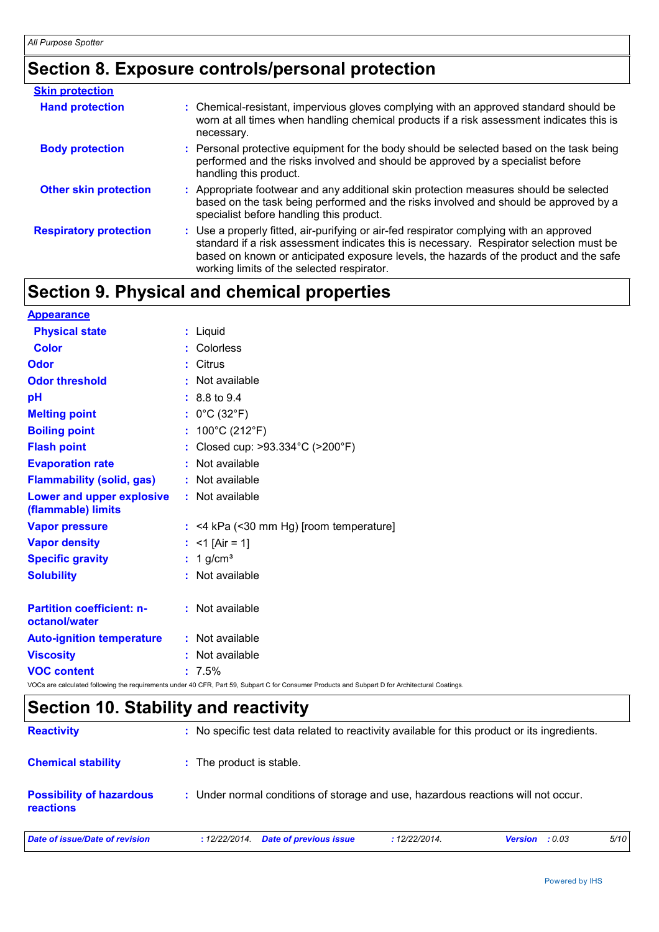# **Section 8. Exposure controls/personal protection**

| <b>Skin protection</b>        |                                                                                                                                                                                                                                                                                                                            |
|-------------------------------|----------------------------------------------------------------------------------------------------------------------------------------------------------------------------------------------------------------------------------------------------------------------------------------------------------------------------|
| <b>Hand protection</b>        | : Chemical-resistant, impervious gloves complying with an approved standard should be<br>worn at all times when handling chemical products if a risk assessment indicates this is<br>necessary.                                                                                                                            |
| <b>Body protection</b>        | : Personal protective equipment for the body should be selected based on the task being<br>performed and the risks involved and should be approved by a specialist before<br>handling this product.                                                                                                                        |
| <b>Other skin protection</b>  | : Appropriate footwear and any additional skin protection measures should be selected<br>based on the task being performed and the risks involved and should be approved by a<br>specialist before handling this product.                                                                                                  |
| <b>Respiratory protection</b> | : Use a properly fitted, air-purifying or air-fed respirator complying with an approved<br>standard if a risk assessment indicates this is necessary. Respirator selection must be<br>based on known or anticipated exposure levels, the hazards of the product and the safe<br>working limits of the selected respirator. |

# **Section 9. Physical and chemical properties**

| <b>Appearance</b>                                 |                                                                                                                                                 |
|---------------------------------------------------|-------------------------------------------------------------------------------------------------------------------------------------------------|
| <b>Physical state</b>                             | $:$ Liquid                                                                                                                                      |
| <b>Color</b>                                      | : Colorless                                                                                                                                     |
| <b>Odor</b>                                       | : Citrus                                                                                                                                        |
| <b>Odor threshold</b>                             | : Not available                                                                                                                                 |
| pH                                                | $: 8.8 \text{ to } 9.4$                                                                                                                         |
| <b>Melting point</b>                              | : $0^{\circ}$ C (32 $^{\circ}$ F)                                                                                                               |
| <b>Boiling point</b>                              | : $100^{\circ}$ C (212 $^{\circ}$ F)                                                                                                            |
| <b>Flash point</b>                                | : Closed cup: >93.334°C (>200°F)                                                                                                                |
| <b>Evaporation rate</b>                           | : Not available                                                                                                                                 |
| <b>Flammability (solid, gas)</b>                  | : Not available                                                                                                                                 |
| Lower and upper explosive<br>(flammable) limits   | : Not available                                                                                                                                 |
| <b>Vapor pressure</b>                             | $:$ <4 kPa (<30 mm Hg) [room temperature]                                                                                                       |
| <b>Vapor density</b>                              | : $<$ 1 [Air = 1]                                                                                                                               |
| <b>Specific gravity</b>                           | $: 1$ g/cm <sup>3</sup>                                                                                                                         |
| <b>Solubility</b>                                 | : Not available                                                                                                                                 |
| <b>Partition coefficient: n-</b><br>octanol/water | : Not available                                                                                                                                 |
| <b>Auto-ignition temperature</b>                  | : Not available                                                                                                                                 |
| <b>Viscosity</b>                                  | : Not available                                                                                                                                 |
| <b>VOC content</b>                                | $: 7.5\%$                                                                                                                                       |
|                                                   | VOCs are calculated following the requirements under 40 CFR, Part 59, Subpart C for Consumer Products and Subpart D for Architectural Coatings. |

# **Section 10. Stability and reactivity**

| <b>Reactivity</b>                                   | : No specific test data related to reactivity available for this product or its ingredients. |               |                   |      |
|-----------------------------------------------------|----------------------------------------------------------------------------------------------|---------------|-------------------|------|
| <b>Chemical stability</b>                           | : The product is stable.                                                                     |               |                   |      |
| <b>Possibility of hazardous</b><br><b>reactions</b> | : Under normal conditions of storage and use, hazardous reactions will not occur.            |               |                   |      |
| Date of issue/Date of revision                      | Date of previous issue<br>: 12/22/2014.                                                      | : 12/22/2014. | : 0.03<br>Version | 5/10 |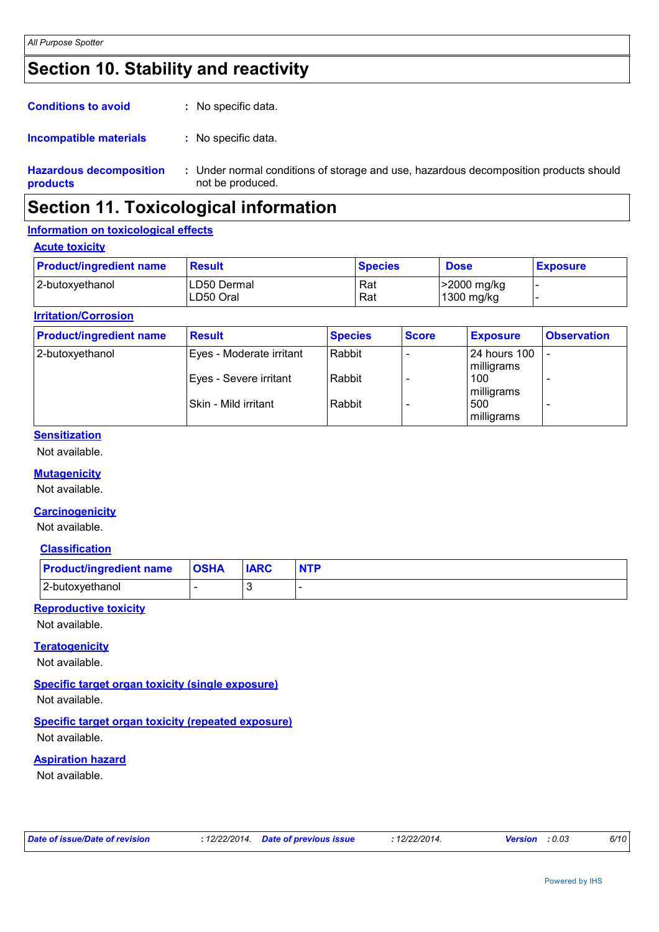## **Section 10. Stability and reactivity**

| <b>Conditions to avoid</b><br>: No specific data. |
|---------------------------------------------------|
|---------------------------------------------------|

#### : No specific data. **Incompatible materials :**

**Hazardous decomposition products** Under normal conditions of storage and use, hazardous decomposition products should **:** not be produced.

## **Section 11. Toxicological information**

## **Information on toxicological effects**

#### **Acute toxicity**

| <b>Product/ingredient name</b> | Result                   | <b>Species</b> | <b>Dose</b>               | <b>Exposure</b> |
|--------------------------------|--------------------------|----------------|---------------------------|-----------------|
| 2-butoxyethanol                | LD50 Dermal<br>LD50 Oral | Rat<br>Rat     | -2000 mg/kg<br>1300 mg/kg |                 |

### **Irritation/Corrosion**

| <b>Product/ingredient name</b> | <b>Result</b>            | <b>Species</b> | <b>Score</b> | <b>Exposure</b>                   | <b>Observation</b>       |
|--------------------------------|--------------------------|----------------|--------------|-----------------------------------|--------------------------|
| 2-butoxyethanol                | Eyes - Moderate irritant | Rabbit         |              | <b>24 hours 100</b><br>milligrams | $\overline{\phantom{0}}$ |
|                                | Eyes - Severe irritant   | Rabbit         |              | 100<br>milligrams                 |                          |
|                                | Skin - Mild irritant     | Rabbit         |              | 500<br>milligrams                 |                          |

## **Sensitization**

Not available.

## **Mutagenicity**

Not available.

### **Carcinogenicity**

Not available.

### **Classification**

| <b>Product/ingredient name</b> | <b>OSHA</b> | <b>IARC</b> | <b>NTP</b> |
|--------------------------------|-------------|-------------|------------|
| 2-butoxyethanol                |             |             |            |

### **Reproductive toxicity**

Not available.

## **Teratogenicity**

Not available.

## **Specific target organ toxicity (single exposure)**

Not available.

## **Specific target organ toxicity (repeated exposure)**

Not available.

## **Aspiration hazard**

Not available.

| Date of issue/Date of revision | : 12/22/2014. Date of previous issue | 12/22/2014. | <b>Version</b> : 0.03 | 6/10 |
|--------------------------------|--------------------------------------|-------------|-----------------------|------|
|--------------------------------|--------------------------------------|-------------|-----------------------|------|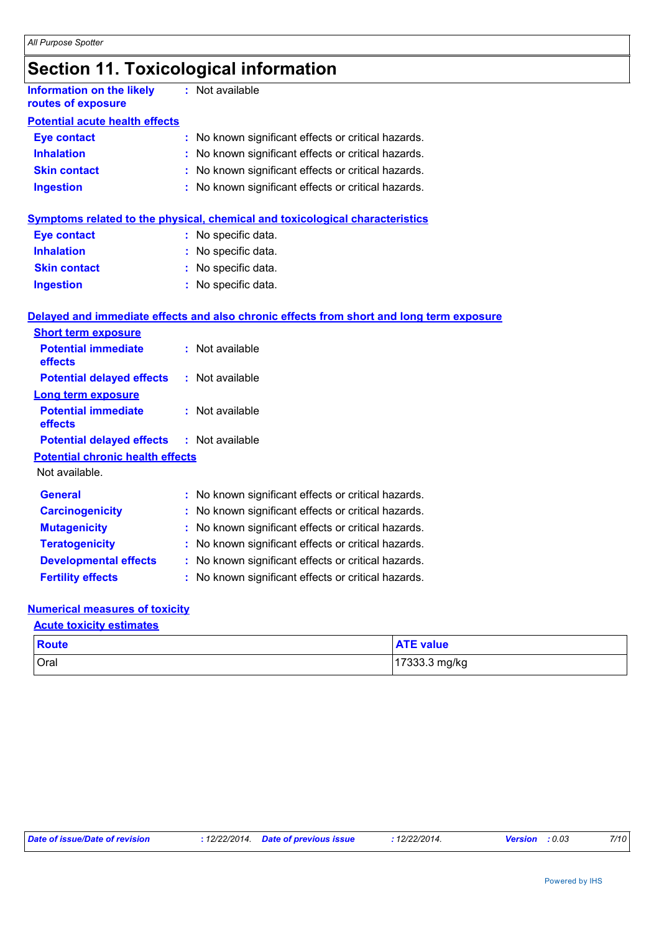# **Section 11. Toxicological information**

| <b>Information on the likely</b><br>routes of exposure |    | : Not available                                                                          |
|--------------------------------------------------------|----|------------------------------------------------------------------------------------------|
| <b>Potential acute health effects</b>                  |    |                                                                                          |
| <b>Eye contact</b>                                     |    | : No known significant effects or critical hazards.                                      |
| <b>Inhalation</b>                                      |    | No known significant effects or critical hazards.                                        |
| <b>Skin contact</b>                                    |    | No known significant effects or critical hazards.                                        |
| <b>Ingestion</b>                                       |    | : No known significant effects or critical hazards.                                      |
|                                                        |    | <b>Symptoms related to the physical, chemical and toxicological characteristics</b>      |
| <b>Eye contact</b>                                     |    | : No specific data.                                                                      |
| <b>Inhalation</b>                                      |    | No specific data.                                                                        |
| <b>Skin contact</b>                                    |    | : No specific data.                                                                      |
| <b>Ingestion</b>                                       |    | : No specific data.                                                                      |
|                                                        |    | Delayed and immediate effects and also chronic effects from short and long term exposure |
| <b>Short term exposure</b>                             |    |                                                                                          |
| <b>Potential immediate</b><br>effects                  |    | : Not available                                                                          |
| <b>Potential delayed effects</b>                       |    | : Not available                                                                          |
| <b>Long term exposure</b>                              |    |                                                                                          |
| <b>Potential immediate</b><br>effects                  |    | : Not available                                                                          |
| <b>Potential delayed effects</b>                       |    | : Not available                                                                          |
| <b>Potential chronic health effects</b>                |    |                                                                                          |
| Not available.                                         |    |                                                                                          |
| General                                                |    | : No known significant effects or critical hazards.                                      |
| <b>Carcinogenicity</b>                                 | t. | No known significant effects or critical hazards.                                        |
| <b>Mutagenicity</b>                                    |    | No known significant effects or critical hazards.                                        |
| <b>Teratogenicity</b>                                  |    | No known significant effects or critical hazards.                                        |
| <b>Developmental effects</b>                           |    | No known significant effects or critical hazards.                                        |
| <b>Fertility effects</b>                               |    | : No known significant effects or critical hazards.                                      |
|                                                        |    |                                                                                          |

#### **Numerical measures of toxicity Acute toxicity estimates**

| <b>Route</b> | <b>ATE value</b> |
|--------------|------------------|
| <b>Oral</b>  | 17333.3 mg/kg    |

| Date of issue/Date of revision | : 12/22/2014 <b>Date of previous issue</b> | <sup>1</sup> 2/22/2014. | <b>Version</b> : 0.03 | 7/10 |
|--------------------------------|--------------------------------------------|-------------------------|-----------------------|------|
|--------------------------------|--------------------------------------------|-------------------------|-----------------------|------|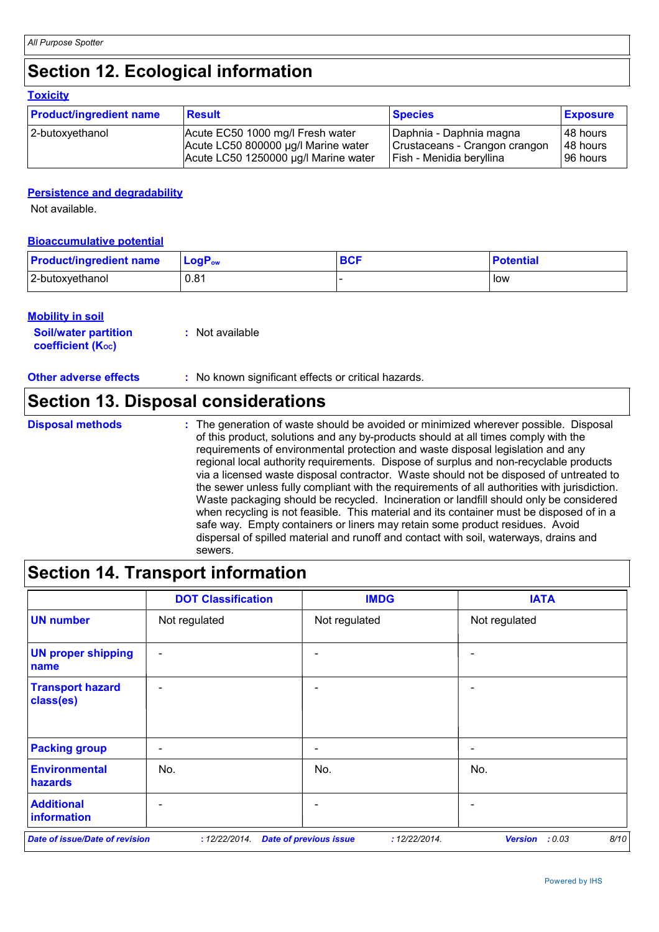## **Section 12. Ecological information**

#### **Toxicity**

| <b>Product/ingredient name</b> | <b>Result</b>                        | <b>Species</b>                | <b>Exposure</b> |
|--------------------------------|--------------------------------------|-------------------------------|-----------------|
| 2-butoxyethanol                | Acute EC50 1000 mg/l Fresh water     | Daphnia - Daphnia magna       | 148 hours       |
|                                | Acute LC50 800000 µg/l Marine water  | Crustaceans - Crangon crangon | 48 hours        |
|                                | Acute LC50 1250000 µg/l Marine water | Fish - Menidia beryllina      | 96 hours        |

## **Persistence and degradability**

Not available.

## **Bioaccumulative potential**

| <b>Product/ingredient name</b> | $\mathsf{LogP}_\mathsf{ow}$ | $\rho$ | <b>Potential</b> |
|--------------------------------|-----------------------------|--------|------------------|
| 2-butoxyethanol                | 0.81                        |        | low              |

## **Mobility in soil**

| <i></i>                     |                 |
|-----------------------------|-----------------|
| <b>Soil/water partition</b> | : Not available |
| <b>coefficient (Koc)</b>    |                 |

## **Other adverse effects** : No known significant effects or critical hazards.

## **Section 13. Disposal considerations**

The generation of waste should be avoided or minimized wherever possible. Disposal of this product, solutions and any by-products should at all times comply with the requirements of environmental protection and waste disposal legislation and any regional local authority requirements. Dispose of surplus and non-recyclable products via a licensed waste disposal contractor. Waste should not be disposed of untreated to the sewer unless fully compliant with the requirements of all authorities with jurisdiction. Waste packaging should be recycled. Incineration or landfill should only be considered when recycling is not feasible. This material and its container must be disposed of in a safe way. Empty containers or liners may retain some product residues. Avoid dispersal of spilled material and runoff and contact with soil, waterways, drains and sewers. **Disposal methods :**

## **Section 14. Transport information**

|                                        | <b>DOT Classification</b> | <b>IMDG</b>                                    | <b>IATA</b>                      |
|----------------------------------------|---------------------------|------------------------------------------------|----------------------------------|
| <b>UN number</b>                       | Not regulated             | Not regulated                                  | Not regulated                    |
| <b>UN proper shipping</b><br>name      | $\overline{\phantom{a}}$  |                                                | $\overline{\phantom{0}}$         |
| <b>Transport hazard</b><br>class(es)   | $\overline{\phantom{a}}$  | $\overline{\phantom{0}}$                       | $\qquad \qquad \blacksquare$     |
| <b>Packing group</b>                   | $\overline{\phantom{a}}$  | $\overline{\phantom{a}}$                       | $\qquad \qquad \blacksquare$     |
| <b>Environmental</b><br><b>hazards</b> | No.                       | No.                                            | No.                              |
| <b>Additional</b><br>information       |                           |                                                |                                  |
| <b>Date of issue/Date of revision</b>  | : 12/22/2014.             | <b>Date of previous issue</b><br>: 12/22/2014. | 8/10<br><b>Version</b><br>: 0.03 |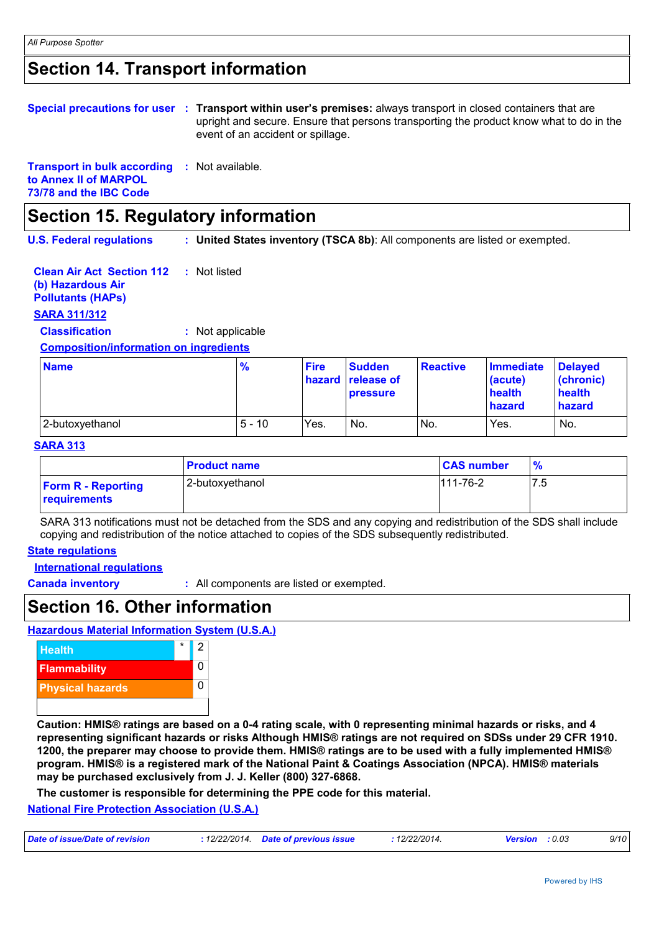## **Section 14. Transport information**

|                                                     | Special precautions for user : Transport within user's premises: always transport in closed containers that are<br>upright and secure. Ensure that persons transporting the product know what to do in the<br>event of an accident or spillage. |  |
|-----------------------------------------------------|-------------------------------------------------------------------------------------------------------------------------------------------------------------------------------------------------------------------------------------------------|--|
| <b>Transport in bulk according : Not available.</b> |                                                                                                                                                                                                                                                 |  |

## **Section 15. Regulatory information**

**U.S. Federal regulations : United States inventory (TSCA 8b)**: All components are listed or exempted.

| <b>Clean Air Act Section 112</b> : Not listed |  |
|-----------------------------------------------|--|
| (b) Hazardous Air                             |  |
| <b>Pollutants (HAPS)</b>                      |  |

## **SARA 311/312**

**to Annex II of MARPOL 73/78 and the IBC Code**

**Classification :** Not applicable

#### **Composition/information on ingredients**

| <b>Name</b>     | $\frac{9}{6}$ | <b>Fire</b> | <b>Sudden</b><br><b>hazard</b> release of<br><b>pressure</b> | <b>Reactive</b> | <b>Immediate</b><br>(acute)<br>health<br>hazard | <b>Delayed</b><br>(chronic)<br>health<br>hazard |
|-----------------|---------------|-------------|--------------------------------------------------------------|-----------------|-------------------------------------------------|-------------------------------------------------|
| 2-butoxyethanol | $5 - 10$      | Yes.        | No.                                                          | No.             | Yes.                                            | No.                                             |

### **SARA 313**

|                                           | <b>Product name</b> | <b>CAS number</b> | $\frac{9}{6}$ |
|-------------------------------------------|---------------------|-------------------|---------------|
| <b>Form R - Reporting</b><br>requirements | 2-butoxyethanol     | $111-76-2$        | 7.5           |

SARA 313 notifications must not be detached from the SDS and any copying and redistribution of the SDS shall include copying and redistribution of the notice attached to copies of the SDS subsequently redistributed.

### **State regulations**

**International regulations**

**Canada inventory :** All components are listed or exempted.

## **Section 16. Other information**

**Hazardous Material Information System (U.S.A.)**



**Caution: HMIS® ratings are based on a 0-4 rating scale, with 0 representing minimal hazards or risks, and 4 representing significant hazards or risks Although HMIS® ratings are not required on SDSs under 29 CFR 1910. 1200, the preparer may choose to provide them. HMIS® ratings are to be used with a fully implemented HMIS® program. HMIS® is a registered mark of the National Paint & Coatings Association (NPCA). HMIS® materials may be purchased exclusively from J. J. Keller (800) 327-6868.**

**The customer is responsible for determining the PPE code for this material.**

### **National Fire Protection Association (U.S.A.)**

| Date of issue/Date of revision<br>: 12/22/2014  Date of previous issue<br>12/22/2014.<br><b>Version</b> : 0.03 |  |  |  |  | 9/10 |
|----------------------------------------------------------------------------------------------------------------|--|--|--|--|------|
|----------------------------------------------------------------------------------------------------------------|--|--|--|--|------|